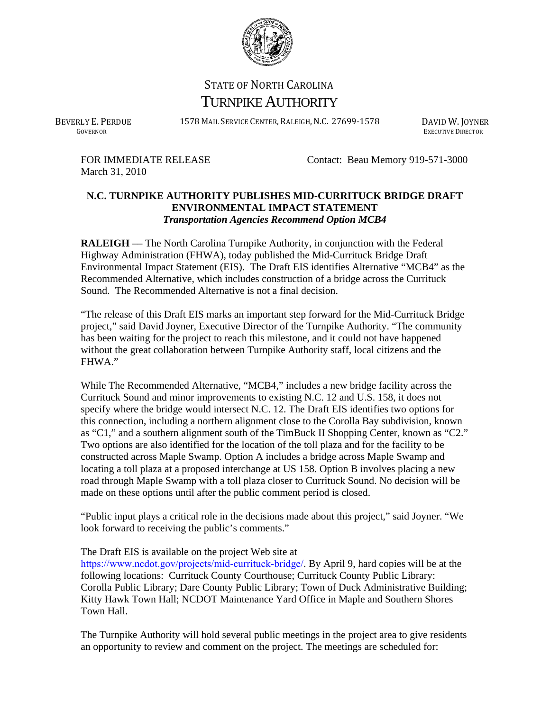

## STATE OF NORTH CAROLINA TURNPIKE AUTHORITY

BEVERLY E. PERDUE 1578 MAIL SERVICE CENTER, RALEIGH, N.C. 27699-1578 DAVID W. JOYNER

GOVERNOR EXECUTIVE DIRECTOR

March 31, 2010

FOR IMMEDIATE RELEASE Contact: Beau Memory 919-571-3000

## **N.C. TURNPIKE AUTHORITY PUBLISHES MID-CURRITUCK BRIDGE DRAFT ENVIRONMENTAL IMPACT STATEMENT** *Transportation Agencies Recommend Option MCB4*

**RALEIGH** — The North Carolina Turnpike Authority, in conjunction with the Federal Highway Administration (FHWA), today published the Mid-Currituck Bridge Draft Environmental Impact Statement (EIS). The Draft EIS identifies Alternative "MCB4" as the Recommended Alternative, which includes construction of a bridge across the Currituck Sound. The Recommended Alternative is not a final decision.

"The release of this Draft EIS marks an important step forward for the Mid-Currituck Bridge project," said David Joyner, Executive Director of the Turnpike Authority. "The community has been waiting for the project to reach this milestone, and it could not have happened without the great collaboration between Turnpike Authority staff, local citizens and the FHWA."

While The Recommended Alternative, "MCB4," includes a new bridge facility across the Currituck Sound and minor improvements to existing N.C. 12 and U.S. 158, it does not specify where the bridge would intersect N.C. 12. The Draft EIS identifies two options for this connection, including a northern alignment close to the Corolla Bay subdivision, known as "C1," and a southern alignment south of the TimBuck II Shopping Center, known as "C2." Two options are also identified for the location of the toll plaza and for the facility to be constructed across Maple Swamp. Option A includes a bridge across Maple Swamp and locating a toll plaza at a proposed interchange at US 158. Option B involves placing a new road through Maple Swamp with a toll plaza closer to Currituck Sound. No decision will be made on these options until after the public comment period is closed.

"Public input plays a critical role in the decisions made about this project," said Joyner. "We look forward to receiving the public's comments."

## The Draft EIS is available on the project Web site at

https://www.ncdot.gov/projects/mid-currituck-bridge/. By April 9, hard copies will be at the following locations: Currituck County Courthouse; Currituck County Public Library: Corolla Public Library; Dare County Public Library; Town of Duck Administrative Building; Kitty Hawk Town Hall; NCDOT Maintenance Yard Office in Maple and Southern Shores Town Hall.

The Turnpike Authority will hold several public meetings in the project area to give residents an opportunity to review and comment on the project. The meetings are scheduled for: